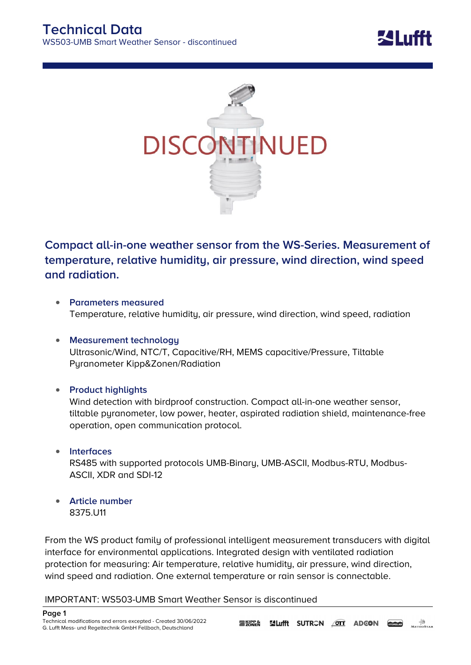



## **Compact all-in-one weather sensor from the WS-Series. Measurement of temperature, relative humidity, air pressure, wind direction, wind speed and radiation.**

- **Parameters measured** Temperature, relative humidity, air pressure, wind direction, wind speed, radiation
- **Measurement technology** Ultrasonic/Wind, NTC/T, Capacitive/RH, MEMS capacitive/Pressure, Tiltable Pyranometer Kipp&Zonen/Radiation
- **Product highlights**

Wind detection with birdproof construction. Compact all-in-one weather sensor, tiltable pyranometer, low power, heater, aspirated radiation shield, maintenance-free operation, open communication protocol.

- **Interfaces** RS485 with supported protocols UMB-Binary, UMB-ASCII, Modbus-RTU, Modbus-ASCII, XDR and SDI-12
- **Article number** 8375.U11

From the WS product family of professional intelligent measurement transducers with digital interface for environmental applications. Integrated design with ventilated radiation protection for measuring: Air temperature, relative humidity, air pressure, wind direction, wind speed and radiation. One external temperature or rain sensor is connectable.

**IMPORTANT: WS503-UMB Smart Weather Sensor is discontinued**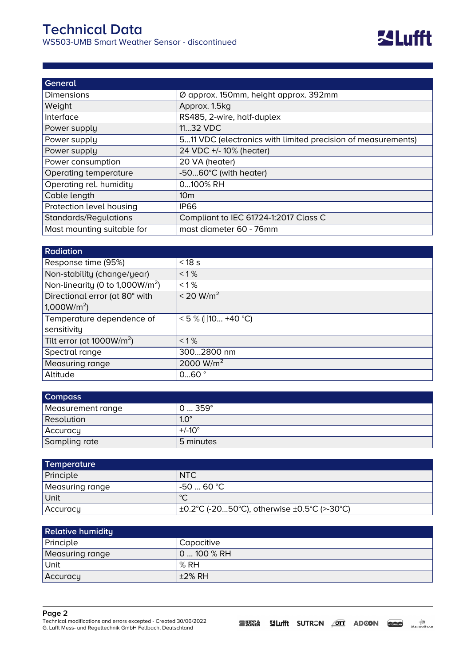| General                    |                                                              |
|----------------------------|--------------------------------------------------------------|
| <b>Dimensions</b>          | Ø approx. 150mm, height approx. 392mm                        |
| Weight                     | Approx. 1.5kg                                                |
| Interface                  | RS485, 2-wire, half-duplex                                   |
| Power supply               | 1132 VDC                                                     |
| Power supply               | 511 VDC (electronics with limited precision of measurements) |
| Power supply               | 24 VDC +/- 10% (heater)                                      |
| Power consumption          | 20 VA (heater)                                               |
| Operating temperature      | -5060°C (with heater)                                        |
| Operating rel. humidity    | 0100% RH                                                     |
| Cable length               | 10 <sub>m</sub>                                              |
| Protection level housing   | <b>IP66</b>                                                  |
| Standards/Regulations      | Compliant to IEC 61724-1:2017 Class C                        |
| Mast mounting suitable for | mast diameter 60 - 76mm                                      |

| <b>Radiation</b>                      |                       |
|---------------------------------------|-----------------------|
| Response time (95%)                   | $<$ 18 s              |
| Non-stability (change/year)           | $< 1\%$               |
| Non-linearity (0 to 1,000 $W/m^2$ )   | $< 1\%$               |
| Directional error (at 80° with        | < 20 W/m <sup>2</sup> |
| 1,000W/m <sup>2</sup>                 |                       |
| Temperature dependence of             | $<$ 5 % ([10 +40 °C)  |
| sensitivity                           |                       |
| Tilt error (at 1000W/m <sup>2</sup> ) | $< 1\%$               |
| Spectral range                        | 3002800 nm            |
| Measuring range                       | 2000 $W/m2$           |
| Altitude                              | 060°                  |

| <b>Compass</b>    |                 |
|-------------------|-----------------|
| Measurement range | 0359°           |
| <b>Resolution</b> | $1.0^\circ$     |
| Accuracy          | $+/-10^{\circ}$ |
| Sampling rate     | 5 minutes       |

| Temperature     |                                             |
|-----------------|---------------------------------------------|
| Principle       | NTC                                         |
| Measuring range | l-50  60 ℃ l                                |
| Unit            | ∣∘∩                                         |
| Accuracy        | ±0.2°C (-2050°C), otherwise ±0.5°C (>-30°C) |

| <b>Relative humidity</b> |                   |
|--------------------------|-------------------|
| Principle                | <b>Capacitive</b> |
| Measuring range          | $0100%$ RH        |
| Unit                     | $\mathsf{R}$ RH   |
| Accuracy                 | $\pm 2\%$ RH      |

## **Page 2**